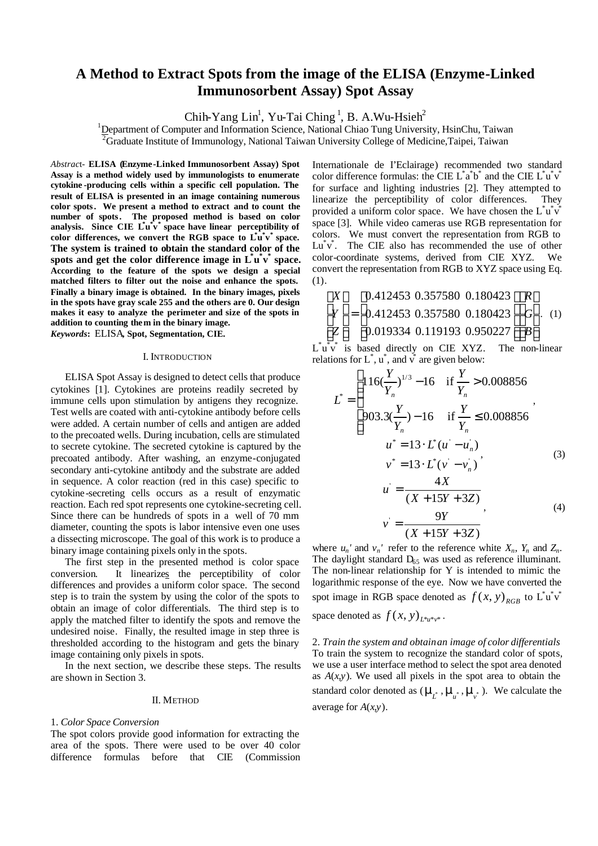# **A Method to Extract Spots from the image of the ELISA (Enzyme-Linked Immunosorbent Assay) Spot Assay**

Chih-Yang Lin<sup>1</sup>, Yu-Tai Ching<sup>1</sup>, B. A.Wu-Hsieh<sup>2</sup>

 $1D$  Department of Computer and Information Science, National Chiao Tung University, HsinChu, Taiwan

 $\overline{{}^2G}$ raduate Institute of Immunology, National Taiwan University College of Medicine, Taipei, Taiwan

*Abstrac*t- **ELISA (Enzyme -Linked Immunosorbent Assay) Spot Assay is a method widely used by immunologists to enumerate cytokine -producing cells within a specific cell population. The result of ELISA is presented in an image containing numerous color spots. We present a method to extract and to count the number of spots. The proposed method is based on color analysis. Since CIE L\* u \* v \* space have linear perceptibility of color differences, we convert the RGB space to L\* u \* v \* space. The system is trained to obtain the standard color of the spots and get the color difference image in L\* u \* v \* space. According to the feature of the spots we design a special matched filters to filter out the noise and enhance the spots. Finally a binary image is obtained. In the binary images, pixels in the spots have gray scale 255 and the others are 0. Our design makes it easy to analyze the perimeter and size of the spots in addition to counting them in the binary image.**

*Keywords***:** ELISA**, Spot, Segmentation, CIE.**

# I. INTRODUCTION

ELISA Spot Assay is designed to detect cells that produce cytokines [1]. Cytokines are proteins readily secreted by immune cells upon stimulation by antigens they recognize. Test wells are coated with anti-cytokine antibody before cells were added. A certain number of cells and antigen are added to the precoated wells. During incubation, cells are stimulated to secrete cytokine. The secreted cytokine is captured by the precoated antibody. After washing, an enzyme-conjugated secondary anti-cytokine antibody and the substrate are added in sequence. A color reaction (red in this case) specific to cytokine-secreting cells occurs as a result of enzymatic reaction. Each red spot represents one cytokine-secreting cell. Since there can be hundreds of spots in a well of 70 mm diameter, counting the spots is labor intensive even one uses a dissecting microscope. The goal of this work is to produce a binary image containing pixels only in the spots.

The first step in the presented method is color space conversion. It linearizes the perceptibility of color differences and provides a uniform color space. The second step is to train the system by using the color of the spots to obtain an image of color differentials. The third step is to apply the matched filter to identify the spots and remove the undesired noise. Finally, the resulted image in step three is thresholded according to the histogram and gets the binary image containing only pixels in spots.

In the next section, we describe these steps. The results are shown in Section 3.

#### II. METHOD

## 1. *Color Space Conversion*

The spot colors provide good information for extracting the area of the spots. There were used to be over 40 color difference formulas before that CIE (Commission

Internationale de I'Eclairage) recommended two standard color difference formulas: the CIE  $L^*a^*b^*$  and the CIE  $L^*u^*v^*$ for surface and lighting industries [2]. They attempted to linearize the perceptibility of color differences. They provided a uniform color space. We have chosen the  $\vec{L}^* \vec{u}^* \vec{v}$ space [3]. While video cameras use RGB representation for colors. We must convert the representation from RGB to Lu<sup>\*</sup>v<sup>\*</sup>. The CIE also has recommended the use of other color-coordinate systems, derived from CIE XYZ. We convert the representation from RGB to XYZ space using Eq. (1).

$$
\begin{bmatrix} X \ Y \ Z \end{bmatrix} = \begin{bmatrix} 0.412453 & 0.357580 & 0.180423 \\ 0.412453 & 0.357580 & 0.180423 \\ 0.019334 & 0.119193 & 0.950227 \end{bmatrix} \begin{bmatrix} R \\ G \\ B \end{bmatrix}.
$$
 (1)

 $L^*u^*v^*$  is based directly on CIE XYZ. The non-linear relations for  $L^*$ ,  $\mathbf{u}^*$ , and  $\mathbf{v}^*$  are given below:  $\mathsf{r}$ 

$$
L^* = \begin{cases} 116(\frac{Y}{Y_n})^{1/3} - 16 & \text{if } \frac{Y}{Y_n} > 0.008856 \\ 903.3(\frac{Y}{Y_n}) - 16 & \text{if } \frac{Y}{Y_n} \le 0.008856 \\ u^* = 13 \cdot L^*(u - u_n) \\ v^* = 13 \cdot L^*(v - v_n) \end{cases}
$$
\n
$$
u = \frac{4X}{(X + 15Y + 3Z)}
$$
\n
$$
v = \frac{9Y}{(X + 15Y + 3Z)}
$$
\n(4)

where  $u_n$ ' and  $v_n$ ' refer to the reference white  $X_n$ ,  $Y_n$  and  $Z_n$ . The daylight standard  $D_{65}$  was used as reference illuminant. The non-linear relationship for Y is intended to mimic the logarithmic response of the eye. Now we have converted the spot image in RGB space denoted as  $f(x, y)_{RGB}$  to  $\mathring{\mathring{L}w}^*$ space denoted as  $f(x, y)$ <sub>*L*\**u*\**v*\*</sub>.

2. *Train the system and obtain an image of color differentials* To train the system to recognize the standard color of spots, we use a user interface method to select the spot area denoted as  $A(x, y)$ . We used all pixels in the spot area to obtain the standard color denoted as  $(\mathbf{m}_{\hat{L}}^*, \mathbf{m}_{\hat{u}}^*, \mathbf{m}_{\hat{v}}^*)$ . We calculate the average for *A*(*x,y*).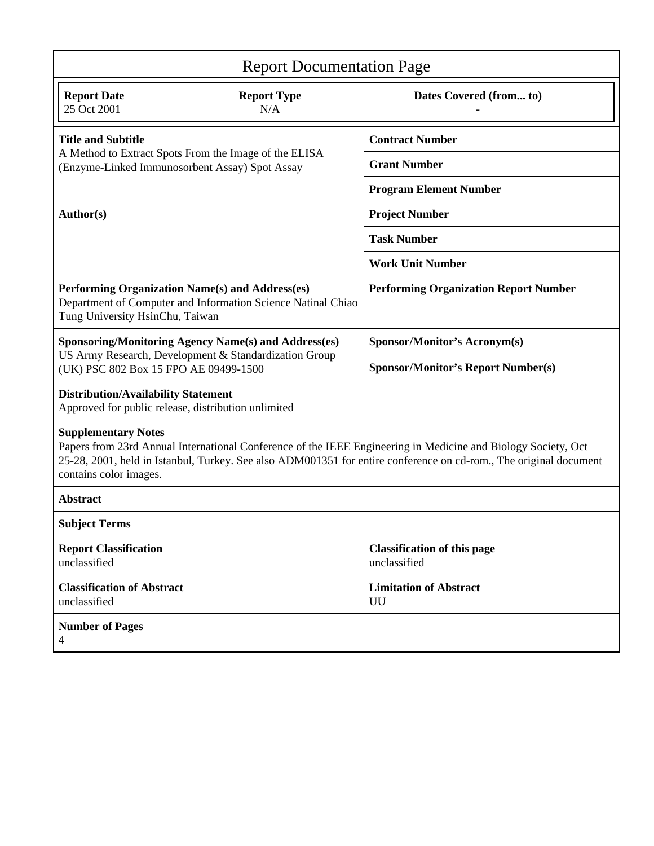| <b>Report Documentation Page</b>                                                                                                                                                                                                                                                           |                           |                                                    |                                     |  |
|--------------------------------------------------------------------------------------------------------------------------------------------------------------------------------------------------------------------------------------------------------------------------------------------|---------------------------|----------------------------------------------------|-------------------------------------|--|
| <b>Report Date</b><br>25 Oct 2001                                                                                                                                                                                                                                                          | <b>Report Type</b><br>N/A |                                                    | Dates Covered (from to)             |  |
| <b>Title and Subtitle</b><br>A Method to Extract Spots From the Image of the ELISA<br>(Enzyme-Linked Immunosorbent Assay) Spot Assay                                                                                                                                                       |                           | <b>Contract Number</b>                             |                                     |  |
|                                                                                                                                                                                                                                                                                            |                           | <b>Grant Number</b>                                |                                     |  |
|                                                                                                                                                                                                                                                                                            |                           | <b>Program Element Number</b>                      |                                     |  |
| Author(s)                                                                                                                                                                                                                                                                                  |                           | <b>Project Number</b>                              |                                     |  |
|                                                                                                                                                                                                                                                                                            |                           | <b>Task Number</b>                                 |                                     |  |
|                                                                                                                                                                                                                                                                                            |                           | <b>Work Unit Number</b>                            |                                     |  |
| Performing Organization Name(s) and Address(es)<br>Department of Computer and Information Science Natinal Chiao<br>Tung University HsinChu, Taiwan                                                                                                                                         |                           | <b>Performing Organization Report Number</b>       |                                     |  |
| <b>Sponsoring/Monitoring Agency Name(s) and Address(es)</b><br>US Army Research, Development & Standardization Group<br>(UK) PSC 802 Box 15 FPO AE 09499-1500                                                                                                                              |                           | <b>Sponsor/Monitor's Acronym(s)</b>                |                                     |  |
|                                                                                                                                                                                                                                                                                            |                           | <b>Sponsor/Monitor's Report Number(s)</b>          |                                     |  |
| <b>Distribution/Availability Statement</b><br>Approved for public release, distribution unlimited                                                                                                                                                                                          |                           |                                                    |                                     |  |
| <b>Supplementary Notes</b><br>Papers from 23rd Annual International Conference of the IEEE Engineering in Medicine and Biology Society, Oct<br>25-28, 2001, held in Istanbul, Turkey. See also ADM001351 for entire conference on cd-rom., The original document<br>contains color images. |                           |                                                    |                                     |  |
| <b>Abstract</b>                                                                                                                                                                                                                                                                            |                           |                                                    |                                     |  |
| <b>Subject Terms</b>                                                                                                                                                                                                                                                                       |                           |                                                    |                                     |  |
| <b>Report Classification</b><br>unclassified                                                                                                                                                                                                                                               |                           | <b>Classification of this page</b><br>unclassified |                                     |  |
| <b>Classification of Abstract</b><br>unclassified                                                                                                                                                                                                                                          |                           |                                                    | <b>Limitation of Abstract</b><br>UU |  |
| <b>Number of Pages</b><br>4                                                                                                                                                                                                                                                                |                           |                                                    |                                     |  |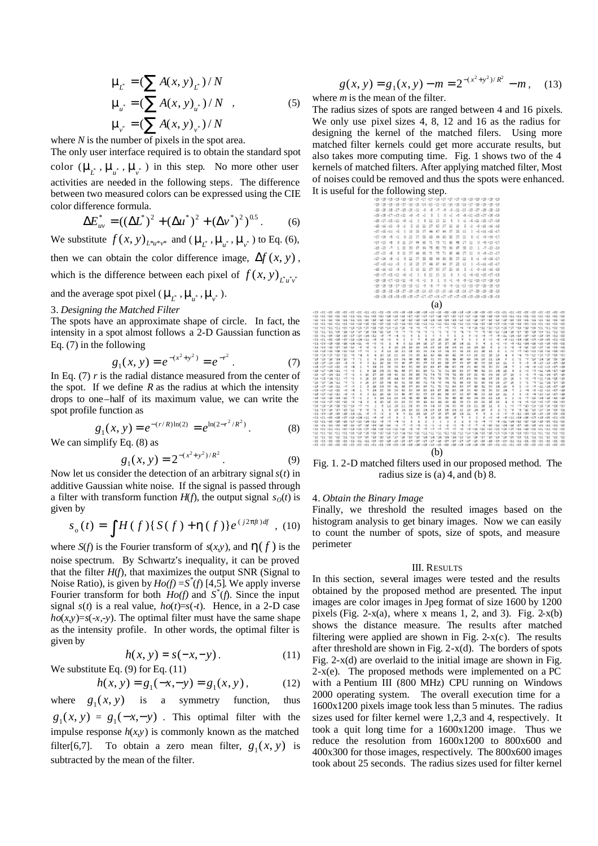$$
\mathbf{m}_{\mu} = (\sum A(x, y)_{\mu}) / N
$$
  
\n
$$
\mathbf{m}_{\mu} = (\sum A(x, y)_{\mu}) / N ,
$$
  
\n
$$
\mathbf{m}_{\nu} = (\sum A(x, y)_{\nu}) / N ,
$$
\n(5)

where *N* is the number of pixels in the spot area.

The only user interface required is to obtain the standard spot color  $(\mathbf{m}_{\mu^*}, \mathbf{m}_{\mu^*}, \mathbf{m}_{\nu^*})$  in this step. No more other user activities are needed in the following steps. The difference between two measured colors can be expressed using the CIE color difference formula.

$$
\Delta E_{uv}^* = ((\Delta L^*)^2 + (\Delta u^*)^2 + (\Delta v^*)^2)^{0.5}.
$$
 (6)

We substitute  $f(x, y)_{L^*u^*v^*}$  and  $(\mathbf{m}_{\underline{t}}^*, \mathbf{m}_{\underline{u}}^*, \mathbf{m}_{\underline{v}}^*)$  to Eq. (6),

then we can obtain the color difference image,  $\Delta f(x, y)$ , which is the difference between each pixel of  $f(x, y)$ <sub>*L*<sup>*u*</sup><sub>*v*</sub><sup>*v*</sup></sup></sub>

and the average spot pixel ( $\mathbf{m}_{\mu^*}$ ,  $\mathbf{m}_{\mu^*}$ ,  $\mathbf{m}_{\nu^*}$ ).

#### 3. *Designing the Matched Filter*

The spots have an approximate shape of circle. In fact, the intensity in a spot almost follows a 2-D Gaussian function as Eq. (7) in the following

$$
g_1(x, y) = e^{-(x^2 + y^2)} = e^{-r^2}.
$$
 (7)

In Eq. (7) *r* is the radial distance measured from the center of the spot. If we define  $R$  as the radius at which the intensity drops to one–half of its maximum value, we can write the spot profile function as

$$
g_1(x, y) = e^{-(r/R)\ln(2)} = e^{\ln(2 - r^2/R^2)}.
$$
 (8)

We can simplify Eq. (8) as

$$
g_1(x, y) = 2^{-(x^2 + y^2)/R^2}.
$$
 (9)

Now let us consider the detection of an arbitrary signal *s*(*t*) in additive Gaussian white noise. If the signal is passed through a filter with transform function  $H(f)$ , the output signal  $s<sub>O</sub>(t)$  is given by

$$
s_o(t) = \int H(f) \{ S(f) + \mathbf{h}(f) \} e^{(j2\mathbf{p}\hat{\mu})df} , \text{ (10)}
$$

where  $S(f)$  is the Fourier transform of  $s(x,y)$ , and  $h(f)$  is the noise spectrum. By Schwartz's inequality, it can be proved that the filter  $H(f)$ , that maximizes the output SNR (Signal to Noise Ratio), is given by  $Ho(f) = S^*(f)$  [4,5]. We apply inverse Fourier transform for both  $Ho(f)$  and  $S^*(f)$ . Since the input signal  $s(t)$  is a real value,  $ho(t)=s(-t)$ . Hence, in a 2-D case  $ho(x, y) = s(-x, -y)$ . The optimal filter must have the same shape as the intensity profile. In other words, the optimal filter is given by

$$
h(x, y) = s(-x, -y).
$$
 (11)

*g a* symmetry function, thus

We substitute Eq. (9) for Eq. (11)

$$
h(x, y) = g_1(-x, -y) = g_1(x, y), \qquad (12)
$$

where  $g_1(x, y)$  $g_1(x, y) = g_1(-x, -y)$ . This optimal filter with the impulse response  $h(x, y)$  is commonly known as the matched filter[6,7]. To obtain a zero mean filter,  $g_1(x, y)$  is subtracted by the mean of the filter.

$$
g(x, y) = g_1(x, y) - m = 2^{-(x^2 + y^2)/R^2} - m, \quad (13)
$$

where *m* is the mean of the filter.

The radius sizes of spots are ranged between 4 and 16 pixels. We only use pixel sizes 4, 8, 12 and 16 as the radius for designing the kernel of the matched filers. Using more matched filter kernels could get more accurate results, but also takes more computing time. Fig. 1 shows two of the 4 kernels of matched filters. After applying matched filter, Most of noises could be removed and thus the spots were enhanced. It is useful for the following step.



Fig. 1. 2-D matched filters used in our proposed method. The radius size is (a) 4, and (b) 8.

# 4. *Obtain the Binary Image*

Finally, we threshold the resulted images based on the histogram analysis to get binary images. Now we can easily to count the number of spots, size of spots, and measure perimeter

#### III. RESULTS

In this section, several images were tested and the results obtained by the proposed method are presented. The input images are color images in Jpeg format of size 1600 by 1200 pixels (Fig. 2- $x(a)$ , where x means 1, 2, and 3). Fig. 2- $x(b)$ shows the distance measure. The results after matched filtering were applied are shown in Fig. 2- $x(c)$ . The results after threshold are shown in Fig.  $2-x(d)$ . The borders of spots Fig. 2-x(d) are overlaid to the initial image are shown in Fig.  $2-x(e)$ . The proposed methods were implemented on a PC with a Pentium III (800 MHz) CPU running on Windows 2000 operating system. The overall execution time for a 1600x1200 pixels image took less than 5 minutes. The radius sizes used for filter kernel were 1,2,3 and 4, respectively. It took a quit long time for a 1600x1200 image. Thus we reduce the resolution from 1600x1200 to 800x600 and 400x300 for those images, respectively. The 800x600 images took about 25 seconds. The radius sizes used for filter kernel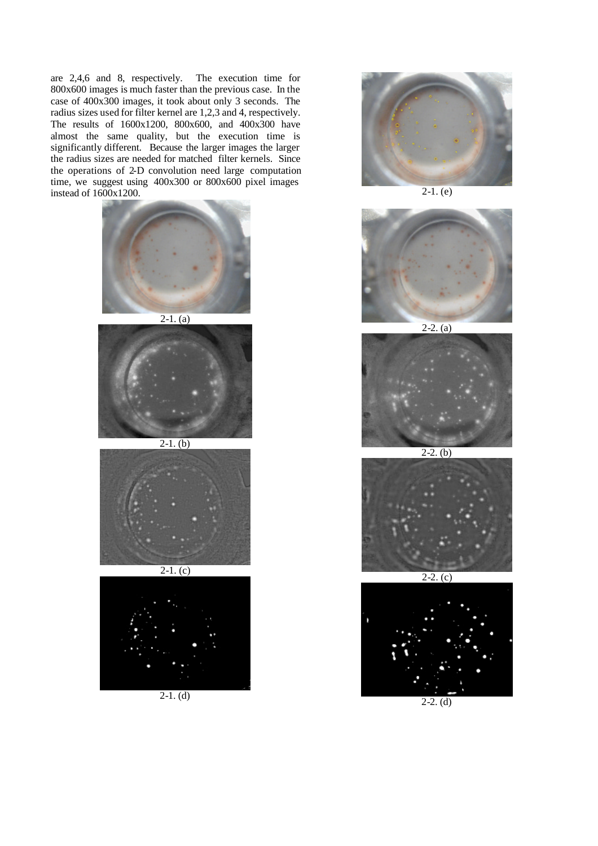are 2,4,6 and 8, respectively. The execution time for 800x600 images is much faster than the previous case. In the case of 400x300 images, it took about only 3 seconds. The radius sizes used for filter kernel are 1,2,3 and 4, respectively. The results of 1600x1200, 800x600, and 400x300 have almost the same quality, but the execution time is significantly different. Because the larger images the larger the radius sizes are needed for matched filter kernels. Since the operations of 2-D convolution need large computation time, we suggest using 400x300 or 800x600 pixel images instead of 1600x1200.





 $2-1.$  (b)





2-1. (d)



 $2-1.$  (e)



 $2-2. (a)$ 



 $2-2.$  (b)



 $2 - 2$ .



 $2-2.$  (d)